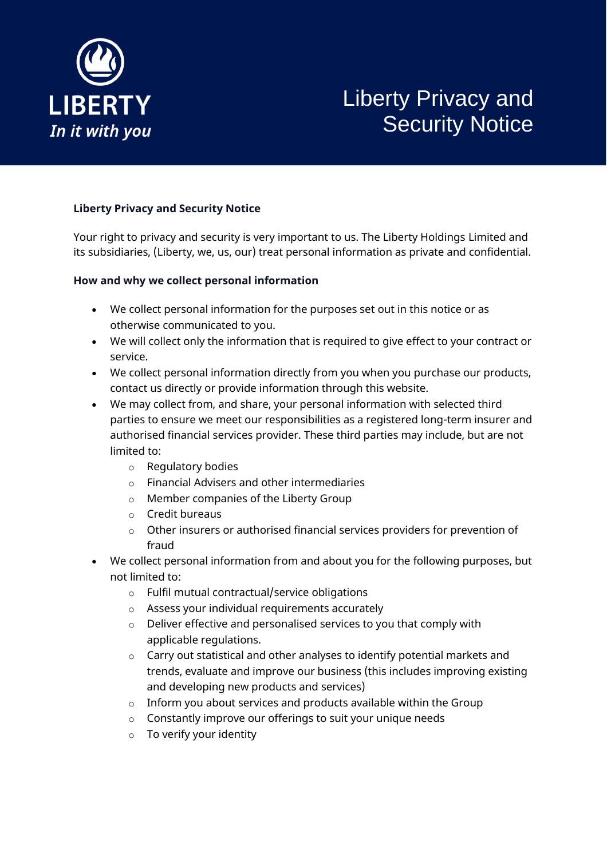

# Liberty Privacy and Security Notice

# **Liberty Privacy and Security Notice**

Your right to privacy and security is very important to us. The Liberty Holdings Limited and its subsidiaries, (Liberty, we, us, our) treat personal information as private and confidential.

## **How and why we collect personal information**

- We collect personal information for the purposes set out in this notice or as otherwise communicated to you.
- We will collect only the information that is required to give effect to your contract or service.
- We collect personal information directly from you when you purchase our products, contact us directly or provide information through this website.
- We may collect from, and share, your personal information with selected third parties to ensure we meet our responsibilities as a registered long-term insurer and authorised financial services provider. These third parties may include, but are not limited to:
	- o Regulatory bodies
	- o Financial Advisers and other intermediaries
	- o Member companies of the Liberty Group
	- o Credit bureaus
	- o Other insurers or authorised financial services providers for prevention of fraud
- We collect personal information from and about you for the following purposes, but not limited to:
	- o Fulfil mutual contractual/service obligations
	- o Assess your individual requirements accurately
	- o Deliver effective and personalised services to you that comply with applicable regulations.
	- o Carry out statistical and other analyses to identify potential markets and trends, evaluate and improve our business (this includes improving existing and developing new products and services)
	- $\circ$  Inform you about services and products available within the Group
	- o Constantly improve our offerings to suit your unique needs
	- o To verify your identity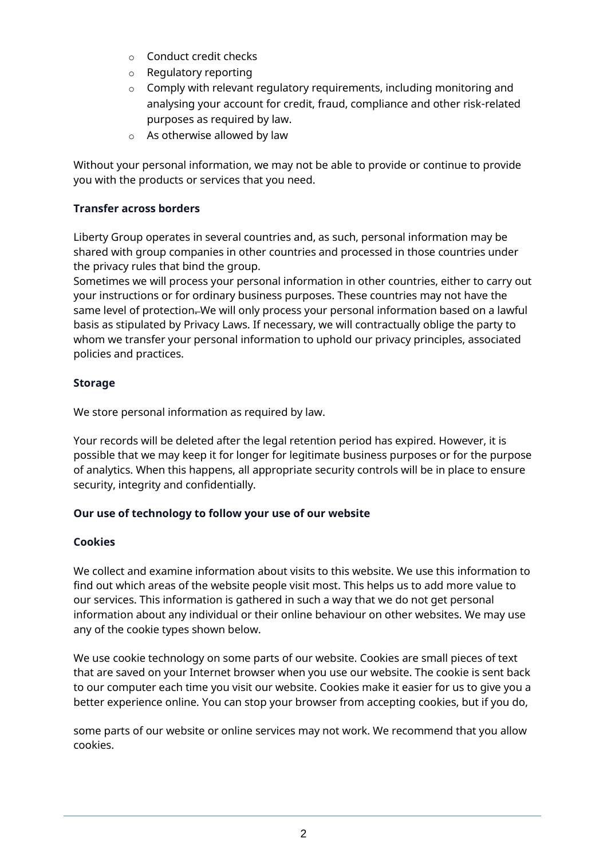- o Conduct credit checks
- o Regulatory reporting
- o Comply with relevant regulatory requirements, including monitoring and analysing your account for credit, fraud, compliance and other risk-related purposes as required by law.
- o As otherwise allowed by law

Without your personal information, we may not be able to provide or continue to provide you with the products or services that you need.

# **Transfer across borders**

Liberty Group operates in several countries and, as such, personal information may be shared with group companies in other countries and processed in those countries under the privacy rules that bind the group.

Sometimes we will process your personal information in other countries, either to carry out your instructions or for ordinary business purposes. These countries may not have the same level of protection. We will only process your personal information based on a lawful basis as stipulated by Privacy Laws. If necessary, we will contractually oblige the party to whom we transfer your personal information to uphold our privacy principles, associated policies and practices.

# **Storage**

We store personal information as required by law.

Your records will be deleted after the legal retention period has expired. However, it is possible that we may keep it for longer for legitimate business purposes or for the purpose of analytics. When this happens, all appropriate security controls will be in place to ensure security, integrity and confidentially.

## **Our use of technology to follow your use of our website**

## **Cookies**

We collect and examine information about visits to this website. We use this information to find out which areas of the website people visit most. This helps us to add more value to our services. This information is gathered in such a way that we do not get personal information about any individual or their online behaviour on other websites. We may use any of the cookie types shown below.

We use cookie technology on some parts of our website. Cookies are small pieces of text that are saved on your Internet browser when you use our website. The cookie is sent back to our computer each time you visit our website. Cookies make it easier for us to give you a better experience online. You can stop your browser from accepting cookies, but if you do,

some parts of our website or online services may not work. We recommend that you allow cookies.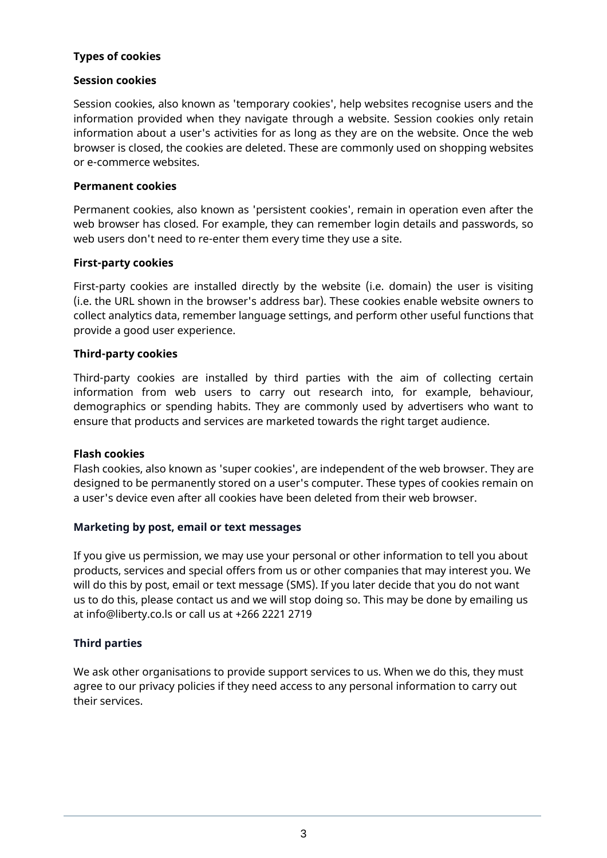## **Types of cookies**

### **Session cookies**

Session cookies, also known as 'temporary cookies', help websites recognise users and the information provided when they navigate through a website. Session cookies only retain information about a user's activities for as long as they are on the website. Once the web browser is closed, the cookies are deleted. These are commonly used on shopping websites or e-commerce websites.

#### **Permanent cookies**

Permanent cookies, also known as 'persistent cookies', remain in operation even after the web browser has closed. For example, they can remember login details and passwords, so web users don't need to re-enter them every time they use a site.

#### **First-party cookies**

First-party cookies are installed directly by the website (i.e. domain) the user is visiting (i.e. the URL shown in the browser's address bar). These cookies enable website owners to collect analytics data, remember language settings, and perform other useful functions that provide a good user experience.

#### **Third-party cookies**

Third-party cookies are installed by third parties with the aim of collecting certain information from web users to carry out research into, for example, behaviour, demographics or spending habits. They are commonly used by advertisers who want to ensure that products and services are marketed towards the right target audience.

#### **Flash cookies**

Flash cookies, also known as 'super cookies', are independent of the web browser. They are designed to be permanently stored on a user's computer. These types of cookies remain on a user's device even after all cookies have been deleted from their web browser.

## **Marketing by post, email or text messages**

If you give us permission, we may use your personal or other information to tell you about products, services and special offers from us or other companies that may interest you. We will do this by post, email or text message (SMS). If you later decide that you do not want us to do this, please contact us and we will stop doing so. This may be done by emailing us at info@liberty.co.ls or call us at +266 2221 2719

## **Third parties**

We ask other organisations to provide support services to us. When we do this, they must agree to our privacy policies if they need access to any personal information to carry out their services.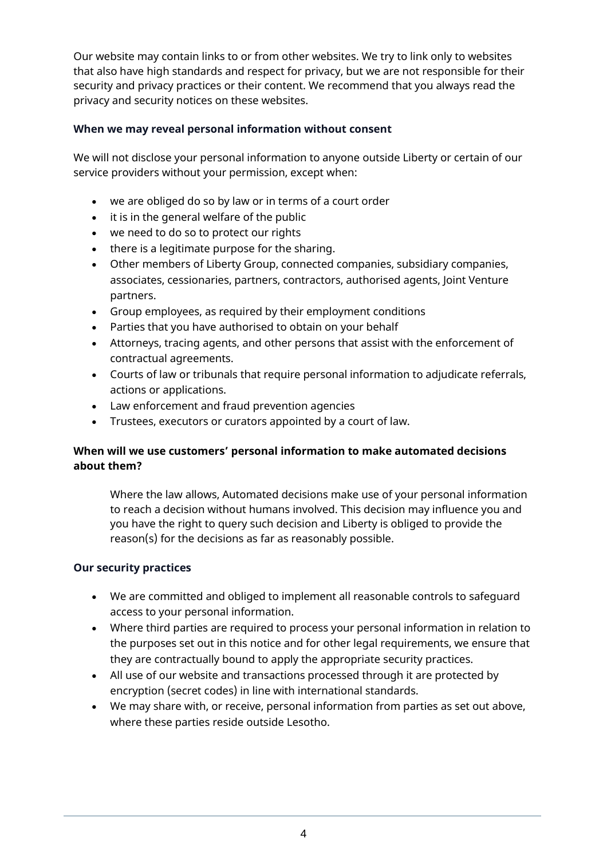Our website may contain links to or from other websites. We try to link only to websites that also have high standards and respect for privacy, but we are not responsible for their security and privacy practices or their content. We recommend that you always read the privacy and security notices on these websites.

## **When we may reveal personal information without consent**

We will not disclose your personal information to anyone outside Liberty or certain of our service providers without your permission, except when:

- we are obliged do so by law or in terms of a court order
- it is in the general welfare of the public
- we need to do so to protect our rights
- there is a legitimate purpose for the sharing.
- Other members of Liberty Group, connected companies, subsidiary companies, associates, cessionaries, partners, contractors, authorised agents, Joint Venture partners.
- Group employees, as required by their employment conditions
- Parties that you have authorised to obtain on your behalf
- Attorneys, tracing agents, and other persons that assist with the enforcement of contractual agreements.
- Courts of law or tribunals that require personal information to adjudicate referrals, actions or applications.
- Law enforcement and fraud prevention agencies
- Trustees, executors or curators appointed by a court of law.

# **When will we use customers' personal information to make automated decisions about them?**

Where the law allows, Automated decisions make use of your personal information to reach a decision without humans involved. This decision may influence you and you have the right to query such decision and Liberty is obliged to provide the reason(s) for the decisions as far as reasonably possible.

## **Our security practices**

- We are committed and obliged to implement all reasonable controls to safeguard access to your personal information.
- Where third parties are required to process your personal information in relation to the purposes set out in this notice and for other legal requirements, we ensure that they are contractually bound to apply the appropriate security practices.
- All use of our website and transactions processed through it are protected by encryption (secret codes) in line with international standards.
- We may share with, or receive, personal information from parties as set out above, where these parties reside outside Lesotho.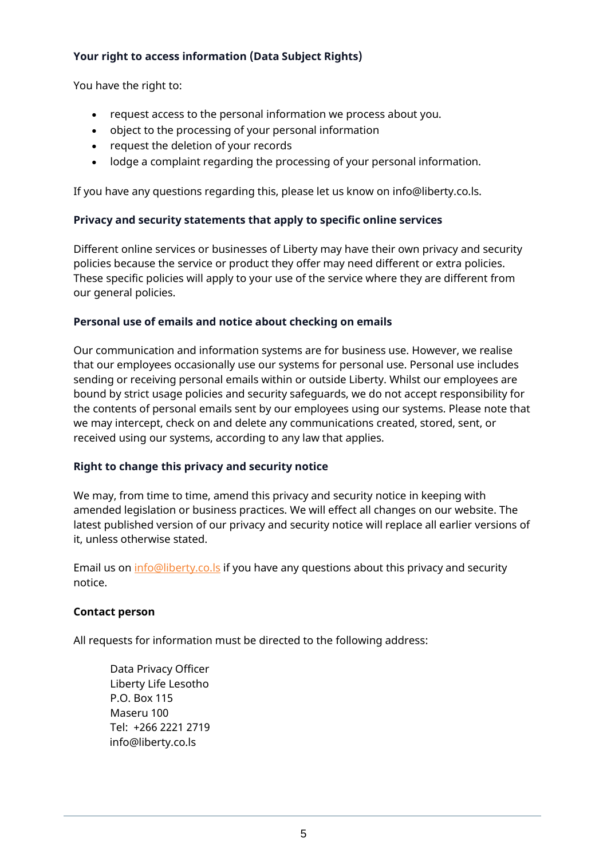# **Your right to access information (Data Subject Rights)**

You have the right to:

- request access to the personal information we process about you.
- object to the processing of your personal information
- request the deletion of your records
- lodge a complaint regarding the processing of your personal information.

If you have any questions regarding this, please let us know on info@liberty.co.ls.

## **Privacy and security statements that apply to specific online services**

Different online services or businesses of Liberty may have their own privacy and security policies because the service or product they offer may need different or extra policies. These specific policies will apply to your use of the service where they are different from our general policies.

## **Personal use of emails and notice about checking on emails**

Our communication and information systems are for business use. However, we realise that our employees occasionally use our systems for personal use. Personal use includes sending or receiving personal emails within or outside Liberty. Whilst our employees are bound by strict usage policies and security safeguards, we do not accept responsibility for the contents of personal emails sent by our employees using our systems. Please note that we may intercept, check on and delete any communications created, stored, sent, or received using our systems, according to any law that applies.

## **Right to change this privacy and security notice**

We may, from time to time, amend this privacy and security notice in keeping with amended legislation or business practices. We will effect all changes on our website. The latest published version of our privacy and security notice will replace all earlier versions of it, unless otherwise stated.

Email us on [info@liberty.co.ls](mailto:info@liberty.co.ls) if you have any questions about this privacy and security notice.

## **Contact person**

All requests for information must be directed to the following address:

Data Privacy Officer Liberty Life Lesotho P.O. Box 115 Maseru 100 Tel: +266 2221 2719 info@liberty.co.ls